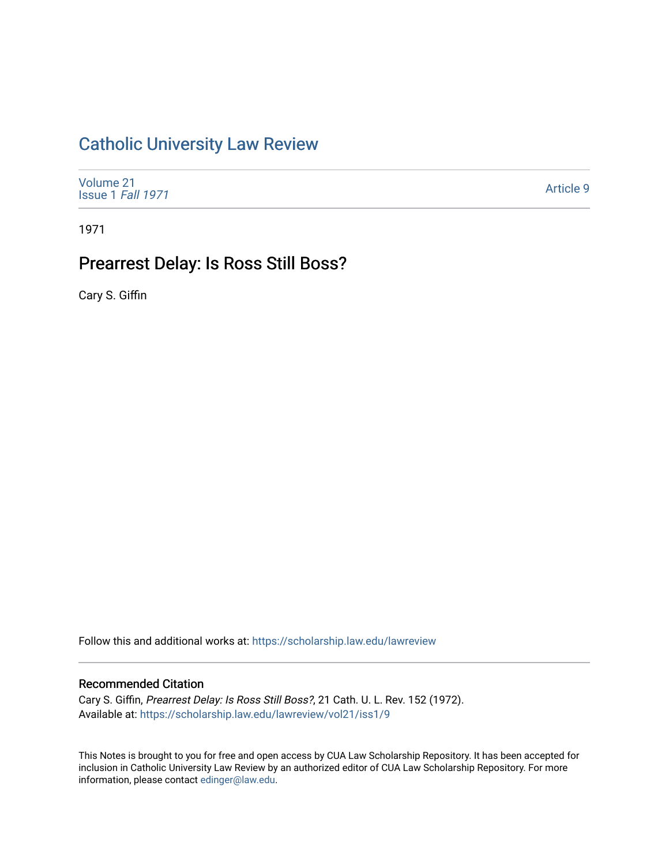# [Catholic University Law Review](https://scholarship.law.edu/lawreview)

| Volume 21<br>Issue 1 Fall 1971 | Article 9 |
|--------------------------------|-----------|
|--------------------------------|-----------|

1971

# Prearrest Delay: Is Ross Still Boss?

Cary S. Giffin

Follow this and additional works at: [https://scholarship.law.edu/lawreview](https://scholarship.law.edu/lawreview?utm_source=scholarship.law.edu%2Flawreview%2Fvol21%2Fiss1%2F9&utm_medium=PDF&utm_campaign=PDFCoverPages)

### Recommended Citation

Cary S. Giffin, Prearrest Delay: Is Ross Still Boss?, 21 Cath. U. L. Rev. 152 (1972). Available at: [https://scholarship.law.edu/lawreview/vol21/iss1/9](https://scholarship.law.edu/lawreview/vol21/iss1/9?utm_source=scholarship.law.edu%2Flawreview%2Fvol21%2Fiss1%2F9&utm_medium=PDF&utm_campaign=PDFCoverPages)

This Notes is brought to you for free and open access by CUA Law Scholarship Repository. It has been accepted for inclusion in Catholic University Law Review by an authorized editor of CUA Law Scholarship Repository. For more information, please contact [edinger@law.edu.](mailto:edinger@law.edu)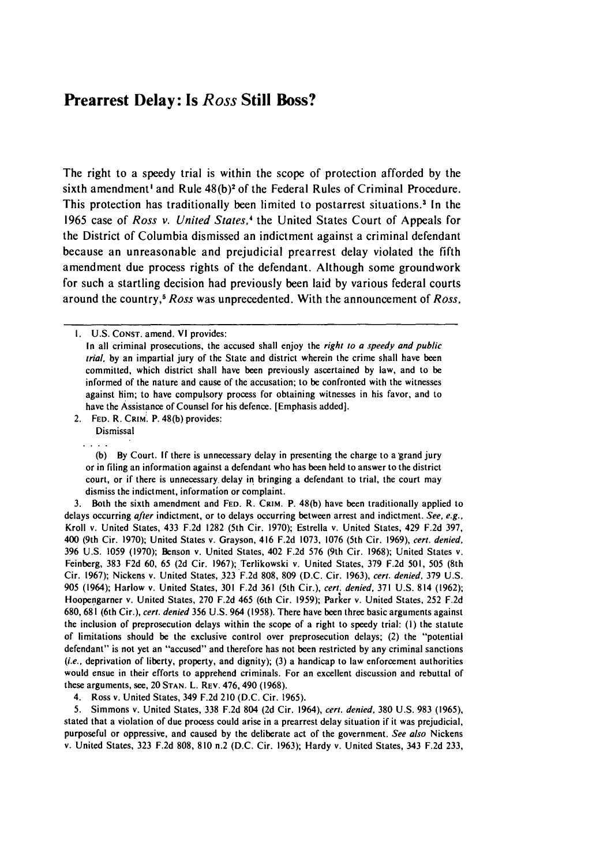### Prearrest Delay: Is *Ross* Still Boss?

The right to a speedy trial is within the scope of protection afforded **by** the sixth amendment' and Rule **48(b)2** of the Federal Rules of Criminal Procedure. This protection has traditionally been limited to postarrest situations.' In the **1965** case of *Ross v. United States,'* the United States Court of Appeals for the District of Columbia dismissed an indictment against a criminal defendant because an unreasonable and prejudicial prearrest delay violated the fifth amendment due process rights of the defendant. Although some groundwork for such a startling decision had previously been laid **by** various federal courts around the country <sup>5</sup>*Ross* was unprecedented. With the announcement of *Ross,*

2. **FED.** R. **CRIM:.** P. **48(b)** provides:

Dismissal  $\cdots$ 

**(b) By** Court. **If** there is unnecessary delay in presenting the charge to a 'grand jury or in filing an information against a defendant who has been held to answer to the district court, or if there is unnecessary. delay in bringing a defendant to trial, the court may dismiss the indictment, information or complaint.

3. Both the sixth amendment and **FED.** R. CRIM. P. 48(b) have been traditionally applied to delays occurring after indictment, or to delays occurring between arrest and indictment. See, e.g., Kroll v. United States, 433 F.2d 1282 (5th Cir. 1970); Estrella v. United States, 429 F.2d 397, 400 (9th Cir. 1970); United States v. Grayson, 416 F.2d 1073, 1076 (5th Cir. 1969), cert. denied, 396 U.S. 1059 (1970); Benson v. United States, 402 F.2d 576 (9th Cir. 1968); United States v. Feinberg, 383 F2d 60, 65 (2d Cir. 1967); Terlikowski v. United States, 379 F.2d 501, 505 (8th Cir. 1967); Nickens v. United States, 323 F.2d 808, 809 (D.C. Cir. 1963), cert. denied, 379 U.S. 905 (1964); Harlow v. United States, 301 F.2d 361 (5th Cir.), cert. denied, 371 U.S. 814 (1962); Hoopengarner v. United States, 270 F.2d 465 (6th Cir. 1959); Parker v. United States, 252 F.2d 680, 681 (6th Cir.), *cert.* denied 356 U.S. 964 (1958). There have been three basic arguments against the inclusion of preprosecution delays within the scope of a right to speedy trial: (I) the statute of limitations should be the exclusive control over preprosecution delays; (2) the "potential defendant" is not yet an "accused" and therefore has not been restricted by any criminal sanctions (i.e., deprivation of liberty, property, and dignity); (3) a handicap to law enforcement authorities would ensue in their efforts to apprehend criminals. For an excellent discussion and rebuttal of these arguments, see, 20 **STAN.** L. REv. 476, 490 (1968).

4. Ross v. United States, 349 F.2d 210 (D.C. Cir. 1965).

5. Simmons v. United States, 338 F.2d 804 (2d Cir. 1964), cert. denied, 380 U.S. 983 (1965), stated that a violation of due process could arise in a prearrest delay situation if it was prejudicial, purposeful or oppressive, and caused **by** the deliberate act of the government. See also Nickens v. United States, 323 F.2d 808, 810 n.2 (D.C. Cir. 1963); Hardy v. United States, 343 F.2d 233,

I. U.S. **CONST.** amend. VI provides:

In all criminal prosecutions, the accused shall enjoy the right to a speedy and public trial, by an impartial jury of the State and district wherein the crime shall have been committed, which district shall have been previously ascertained by law, and to be informed of the nature and cause of the accusation; to be confronted with the witnesses against him; to have compulsory process for obtaining witnesses in his favor, and to have the Assistance of Counsel for his defence. [Emphasis added].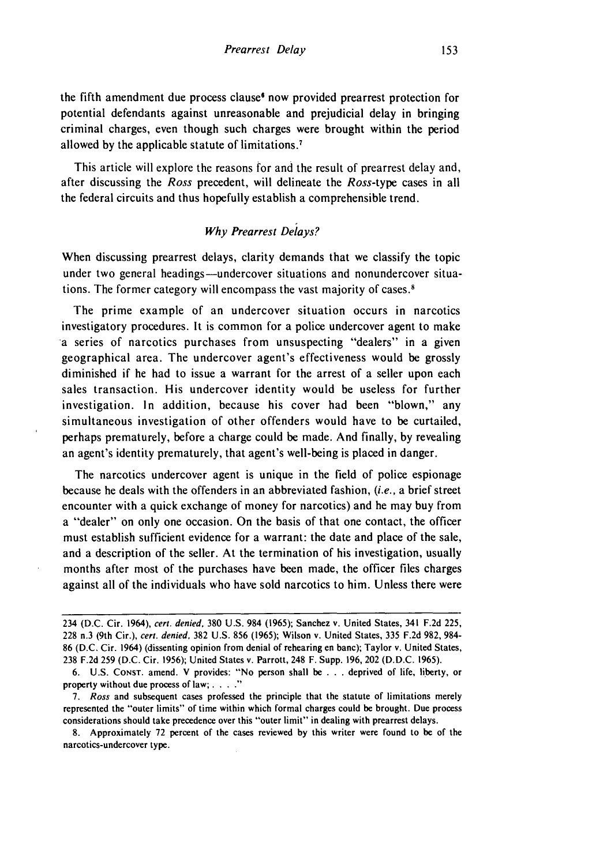the fifth amendment due process clause' now provided prearrest protection for potential defendants against unreasonable and prejudicial delay in bringing criminal charges, even though such charges were brought within the period allowed by the applicable statute of limitations.<sup>7</sup>

This article will explore the reasons for and the result of prearrest delay and, after discussing the *Ross* precedent, will delineate the *Ross-type* cases in all the federal circuits and thus hopefully establish a comprehensible trend.

#### *Why Prearrest Delays?*

When discussing prearrest delays, clarity demands that we classify the topic under two general headings-undercover situations and nonundercover situations. The former category will encompass the vast majority of cases.'

The prime example of an undercover situation occurs in narcotics investigatory procedures. It is common for a police undercover agent to make a series of narcotics purchases from unsuspecting "dealers" in a given geographical area. The undercover agent's effectiveness would be grossly diminished if he had to issue a warrant for the arrest of a seller upon each sales transaction. His undercover identity would be useless for further investigation. In addition, because his cover had been "blown," any simultaneous investigation of other offenders would have to be curtailed, perhaps prematurely, before a charge could be made. And finally, by revealing an agent's identity prematurely, that agent's well-being is placed in danger.

The narcotics undercover agent is unique in the field of police espionage because he deals with the offenders in an abbreviated fashion, (i.e., a brief street encounter with a quick exchange of money for narcotics) and he may buy from a "dealer" on only one occasion. On the basis of that one contact, the officer must establish sufficient evidence for a warrant: the date and place of the sale, and a description of the seller. At the termination of his investigation, usually months after most of the purchases have been made, the officer files charges against all of the individuals who have sold narcotics to him. Unless there were

<sup>234 (</sup>D.C. Cir. 1964), cert. denied, 380 U.S. 984 (1965); Sanchez v. United States, 341 F.2d 225, 228 n.3 (9th Cir.), *cert. denied,* 382 U.S. 856 (1965); Wilson v. United States, 335 F.2d 982, 984- 86 (D.C. Cir. 1964) (dissenting opinion from denial of rehearing en banc); Taylor v. United States, 238 F.2d 259 (D.C. Cir. 1956); United States v. Parrott, 248 F. Supp. 196, 202 (D.D.C. 1965).

<sup>6.</sup> U.S. CoNsT. amend. V provides: "No person shall be .**.**.deprived of life, liberty, or property without due process of law; **...."**

*<sup>7.</sup> Ross* and subsequent cases professed the principle that the statute of limitations merely represented the "outer limits" of time within which formal charges could be brought. Due process considerations should take precedence over this "outer limit" in dealing with prearrest delays.

<sup>8.</sup> Approximately 72 percent of the cases reviewed by this writer were found to be of the narcotics-undercover type.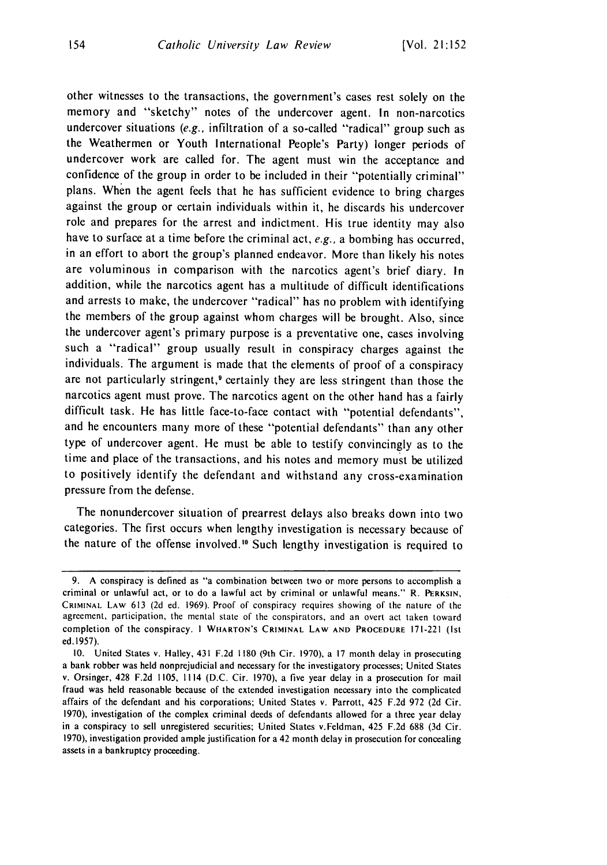other witnesses to the transactions, the government's cases rest solely on the memory and "sketchy" notes of the undercover agent. In non-narcotics undercover situations *(e.g.,* infiltration of a so-called "radical" group such as the Weathermen or Youth International People's Party) longer periods of undercover work are called for. The agent must win the acceptance and confidence of the group in order to be included in their "potentially criminal" plans. When the agent feels that he has sufficient evidence to bring charges against the group or certain individuals within it, he discards his undercover role and prepares for the arrest and indictment. His true identity may also have to surface at a time before the criminal act, *e.g.,* a bombing has occurred, in an effort to abort the group's planned endeavor. More than likely his notes are voluminous in comparison with the narcotics agent's brief diary. In addition, while the narcotics agent has a multitude of difficult identifications and arrests to make, the undercover "radical" has no problem with identifying the members of the group against whom charges will be brought. Also, since the undercover agent's primary purpose is a preventative one, cases involving such a "radical" group usually result in conspiracy charges against the individuals. The argument is made that the elements of proof of a conspiracy are not particularly stringent,<sup>9</sup> certainly they are less stringent than those the narcotics agent must prove. The narcotics agent on the other hand has a fairly difficult task. He has little face-to-face contact with "potential defendants", and he encounters many more of these "potential defendants" than any other type of undercover agent. He must be able to testify convincingly as to the time and place of the transactions, and his notes and memory must be utilized to positively identify the defendant and withstand any cross-examination pressure from the defense.

The nonundercover situation of prearrest delays also breaks down into two categories. The first occurs when lengthy investigation is necessary because of the nature of the offense involved.10 Such lengthy investigation is required to

<sup>9.</sup> A conspiracy is defined as "a combination between two or more persons to accomplish a criminal or unlawful act, or to do a lawful act by criminal or unlawful means." R. PERKSIN, CRIMINAL LAW 613 (2d ed. 1969). Proof of conspiracy requires showing of the nature of the agreement, participation, the mental state of the conspirators, and an overt act taken toward completion of the conspiracy. **I** WHARTON'S **CRIMINAL LAW AND PROCEDURE** 171-221 (Ist ed. 1957).

<sup>10.</sup> United States v. Halley, 431 F.2d 1180 (9th Cir. 1970), a 17 month delay in prosecuting a bank robber was held nonprejudicial and necessary for the investigatory processes; United States v. Orsinger, 428 F.2d 1105, 1114 (D.C. Cir. 1970), a five year delay in a prosecution for mail fraud was held reasonable because of the extended investigation necessary into the complicated affairs of the defendant and his corporations; United States v. Parrott, 425 F.2d 972 (2d Cir. 1970), investigation of the complex criminal deeds of defendants allowed for a three year delay in a conspiracy to sell unregistered securities; United States v.Feldman, 425 F.2d 688 (3d Cir. 1970), investigation provided ample justification for a 42 month delay in prosecution for concealing assets in a bankruptcy proceeding.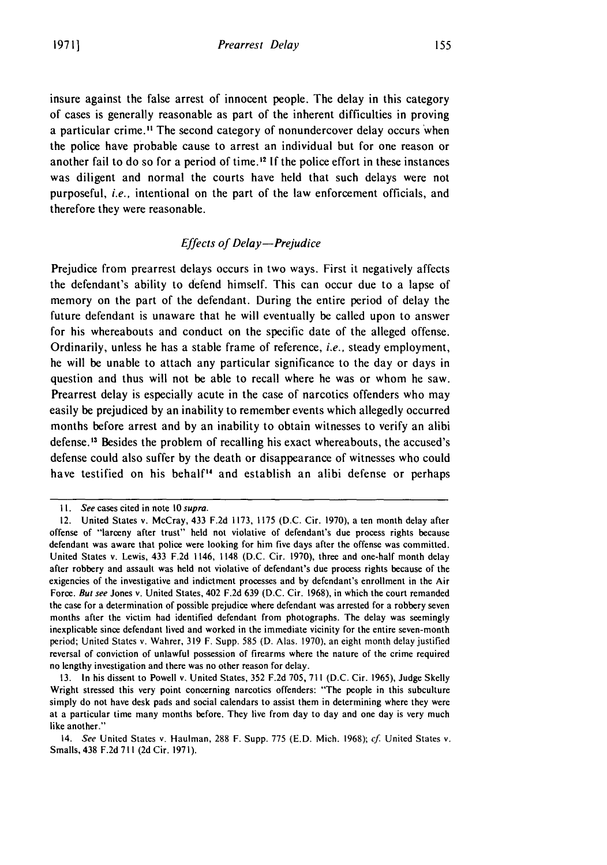insure against the false arrest of innocent people. The delay in this category of cases is generally reasonable as part of the inherent difficulties in proving a particular crime.<sup>11</sup> The second category of nonundercover delay occurs when the police have probable cause to arrest an individual but for one reason or another fail to do so for a period of time. <sup>12</sup>**If** the police effort in these instances was diligent and normal the courts have held that such delays were not purposeful, *i.e.,* intentional on the part of the law enforcement officials, and therefore they were reasonable.

#### *Effects of Delay-Prejudice*

Prejudice from prearrest delays occurs in two ways. First it negatively affects the defendant's ability to defend himself. This can occur due to a lapse of memory on the part of the defendant. During the entire period of delay the future defendant is unaware that he will eventually be called upon to answer for his whereabouts and conduct on the specific date of the alleged offense. Ordinarily, unless he has a stable frame of reference, *i.e.,* steady employment, he will be unable to attach any particular significance to the day or days in question and thus will not be able to recall where he was or whom he saw. Prearrest delay is especially acute in the case of narcotics offenders who may easily be prejudiced **by** an inability to remember events which allegedly occurred months before arrest and **by** an inability to obtain witnesses to verify an alibi defense.'3 Besides the problem of recalling his exact whereabouts, the accused's defense could also suffer **by** the death or disappearance of witnesses who could have testified on his behalf<sup>14</sup> and establish an alibi defense or perhaps

*<sup>1</sup>I.* See cases cited in note **10** supra.

<sup>12.</sup> United States v. McCray, 433 **F.2d 1173, 1175 (D.C.** Cir. **1970),** a ten month delay after offense of "larceny after trust" held not violative of defendant's due process rights because defendant was aware that police were looking for him five days after the offense was committed. United States v. Lewis, 433 **F.2d** 1146, 1148 **(D.C.** Cir. **1970),** three and one-half month delay after robbery and assault was **held** not violative of defendant's due process rights because of the exigencies of the investigative and indictment processes and **by** defendant's enrollment in the Air Force. **But** see Jones v. United States, 402 **F.2d 639 (D.C.** Cir. **1968),** in which the court remanded the case for a determination of possible prejudice where defendant was arrested for a robbery seven months after the victim had identified defendant from photographs. The delay was seemingly inexplicable since defendant lived and worked in the immediate vicinity for the entire seven-month period; United States v. Wahrer, **319** F. Supp. **585 (D.** Alas. **1970),** an eight month delay justified reversal of conviction of unlawful possession of firearms where the nature of the crime required no lengthy investigation and there was no other reason for delay.

**<sup>13.</sup>** In his dissent to Powell v. United States, **352 F.2d 705, 711 (D.C.** Cir. **1965),** Judge Skelly Wright stressed this very point concerning narcotics offenders: "The people in this subculture simply do not have desk pads and social calendars to assist them in determining where they were at a particular time many months before. **They** live from day to day and one day is very much like another."

<sup>14.</sup> See United States v. Haulman, **288** F. Supp. **775 (E.D.** Mich. **1968);** *cf* United States v. Smalls, 438 **F.2d 711 (2d** Cir. **1971).**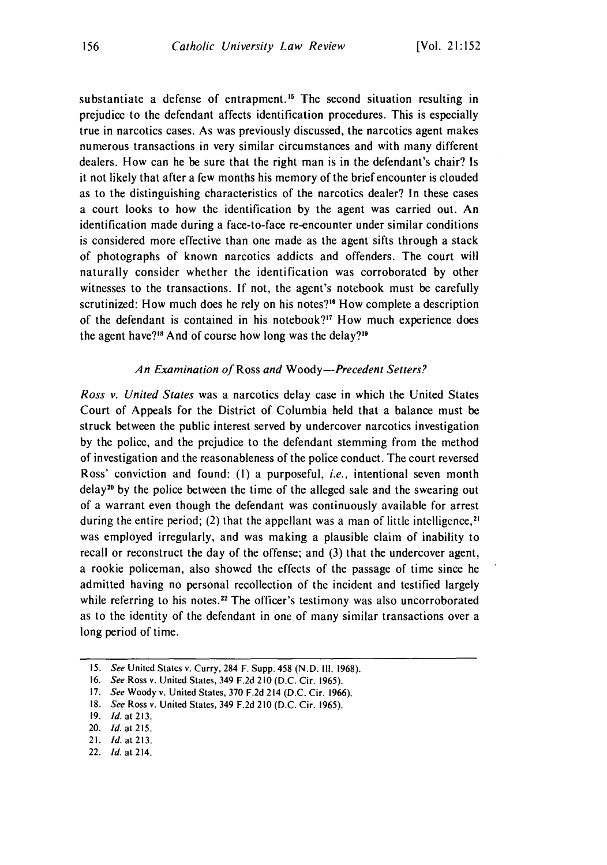substantiate a defense of entrapment.<sup>15</sup> The second situation resulting in prejudice to the defendant affects identification procedures. This is especially true in narcotics cases. As was previously discussed, the narcotics agent makes numerous transactions in very similar circumstances and with many different dealers. How can he be sure that the right man is in the defendant's chair? Is it not likely that after a few months his memory of the brief encounter is clouded as to the distinguishing characteristics of the narcotics dealer? In these cases a court looks to how the identification by the agent was carried out. An identification made during a face-to-face re-encounter under similar conditions is considered more effective than one made as the agent sifts through a stack of photographs of known narcotics addicts and offenders. The court will naturally consider whether the identification was corroborated by other witnesses to the transactions. If not, the agent's notebook must be carefully scrutinized: How much does he rely on his notes?<sup>16</sup> How complete a description of the defendant is contained in his notebook?<sup>17</sup> How much experience does the agent have?<sup>18</sup> And of course how long was the delay?<sup>19</sup>

#### An *Examination of Ross and Woody-Precedent Setters?*

Ross v. United States was a narcotics delay case in which the United States Court of Appeals for the District of Columbia held that a balance must be struck between the public interest served by undercover narcotics investigation by the police, and the prejudice to the defendant stemming from the method of investigation and the reasonableness of the police conduct. The court reversed Ross' conviction and found: **(1)** a purposeful, *i.e.,* intentional seven month  $delay<sup>20</sup>$  by the police between the time of the alleged sale and the swearing out of a warrant even though the defendant was continuously available for arrest during the entire period; (2) that the appellant was a man of little intelligence,<sup>21</sup> was employed irregularly, and was making a plausible claim of inability to recall or reconstruct the day of the offense; and (3) that the undercover agent, a rookie policeman, also showed the effects of the passage of time since he admitted having no personal recollection of the incident and testified largely while referring to his notes.<sup>22</sup> The officer's testimony was also uncorroborated as to the identity of the defendant in one of many similar transactions over a long period of time.

22. **Id.** at 214.

<sup>15.</sup> See United States v. Curry, 284 F. Supp. 458 (N.D. **Ill.** 1968).

<sup>16.</sup> See Ross v. United States, 349 F.2d 210 (D.C. Cir. 1965).

<sup>17.</sup> See Woody v. United States, 370 F.2d 214 (D.C. Cir. 1966).

<sup>18.</sup> See Ross v. United States, 349 F.2d 210 (D.C. Cir. 1965).

**<sup>19.</sup>** *Id. at* **213.**

<sup>20.</sup> **Id.** at 215.

<sup>21.</sup> *ld.* at **213.**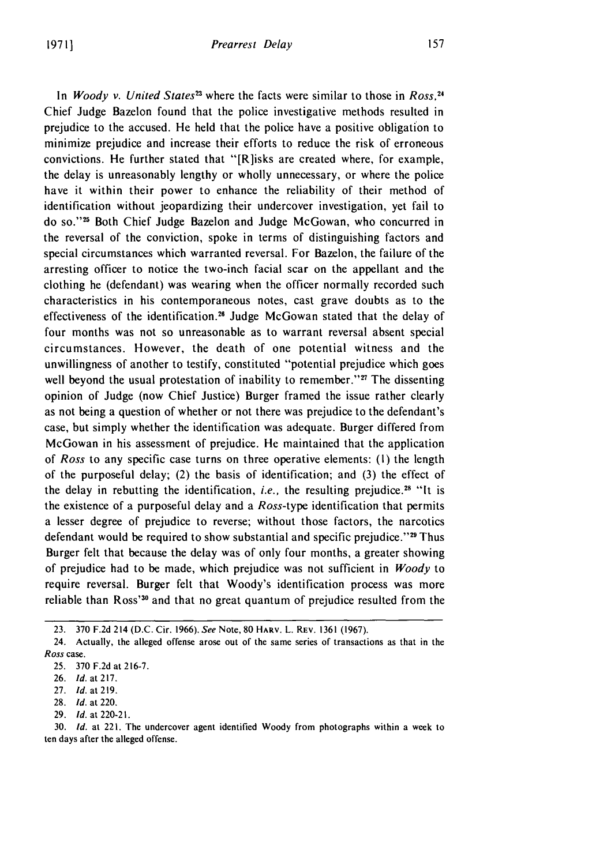In *Woody v. United States22* where the facts were similar to those in *Ross, <sup>4</sup>* Chief Judge Bazelon found that the police investigative methods resulted in prejudice to the accused. He held that the police have a positive obligation to minimize prejudice and increase their efforts to reduce the risk of erroneous convictions. He further stated that "[R]isks are created where, for example, the delay is unreasonably lengthy or wholly unnecessary, or where the police have it within their power to enhance the reliability of their method of identification without jeopardizing their undercover investigation, yet fail to do so."<sup>25</sup> Both Chief Judge Bazelon and Judge McGowan, who concurred in the reversal of the conviction, spoke in terms of distinguishing factors and special circumstances which warranted reversal. For Bazelon, the failure of the arresting officer to notice the two-inch facial scar on the appellant and the clothing he (defendant) was wearing when the officer normally recorded such characteristics in his contemporaneous notes, cast grave doubts as to the effectiveness of the identification.26 Judge McGowan stated that the delay of four months was not so unreasonable as to warrant reversal absent special circumstances. However, the death of one potential witness and the unwillingness of another to testify, constituted "potential prejudice which goes well beyond the usual protestation of inability to remember." $27$  The dissenting opinion of Judge (now Chief Justice) Burger framed the issue rather clearly as not being a question of whether or not there was prejudice to the defendant's case, but simply whether the identification was adequate. Burger differed from McGowan in his assessment of prejudice. He maintained that the application of *Ross* to any specific case turns on three operative elements: (I) the length of the purposeful delay; (2) the basis of identification; and (3) the effect of the delay in rebutting the identification, *i.e.*, the resulting prejudice.<sup>28</sup> "It is the existence of a purposeful delay and a *Ross-type* identification that permits a lesser degree of prejudice to reverse; without those factors, the narcotics defendant would be required to show substantial and specific prejudice." 29 Thus Burger felt that because the delay was of only four months, a greater showing of prejudice had to be made, which prejudice was not sufficient in *Woody* to require reversal. Burger felt that Woody's identification process was more reliable than Ross'30 and that no great quantum of prejudice resulted from the

<sup>23.</sup> **370** F.2d 214 (D.C. Cir. 1966). *See* Note, **80 HARv.** L. REv. 1361 (1967).

<sup>24.</sup> Actually, the alleged offense arose out of the same series of transactions as that in the *Ross* case.

<sup>25. 370</sup> F.2d at 216-7.

<sup>26.</sup> **Id.** at 217.

<sup>27.</sup> **Id.** at 219.

<sup>28.</sup> *Id.* at 220.

<sup>29.</sup> *Id.* at 220-21.

<sup>30.</sup> *Id.* at 221. The undercover agent identified Woody from photographs within a week to ten days after the alleged offense.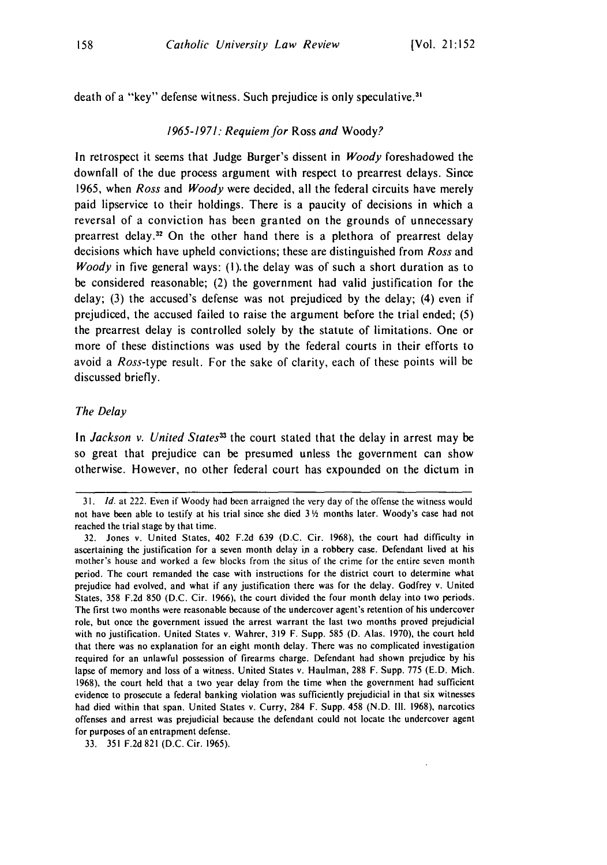death of a "key" defense witness. Such prejudice is only speculative.<sup>31</sup>

#### 1965-1971: Requiem for Ross and Woody?

In retrospect it seems that Judge Burger's dissent in Woody foreshadowed the downfall of the due process argument with respect to prearrest delays. Since 1965, when Ross and Woody were decided, all the federal circuits have merely paid lipservice to their holdings. There is a paucity of decisions in which a reversal of a conviction has been granted on the grounds of unnecessary prearrest delay.<sup>32</sup> On the other hand there is a plethora of prearrest delay decisions which have upheld convictions; these are distinguished from Ross and *Woody* in five general ways: (1) the delay was of such a short duration as to be considered reasonable; (2) the government had valid justification for the delay; (3) the accused's defense was not prejudiced by the delay; (4) even if prejudiced, the accused failed to raise the argument before the trial ended; (5) the prearrest delay is controlled solely by the statute of limitations. One or more of these distinctions was used by the federal courts in their efforts to avoid a *Ross-type* result. For the sake of clarity, each of these points will be discussed briefly.

#### The Delay

In Jackson v. United States<sup>33</sup> the court stated that the delay in arrest may be so great that prejudice can be presumed unless the government can show otherwise. However, no other federal court has expounded on the dictum in

*<sup>31.</sup>* **Id.** at 222. Even if Woody had been arraigned the very day of the offense the witness would not have been able to testify at his trial since she died 3 *h* months later. Woody's case had not reached the trial stage by that time.

<sup>32.</sup> Jones v. United States, 402 F.2d 639 (D.C. Cir. 1968), the court had difficulty in ascertaining the justification for a seven month delay in a robbery case. Defendant lived at his mother's house and worked a few blocks from the situs of the crime for the entire seven month period. The court remanded the case with instructions for the district court to determine what prejudice had evolved, and what if any justification there was for the delay. Godfrey v. United States, 358 F.2d 850 (D.C. Cir. 1966), the court divided the four month delay into two periods. The first two months were reasonable because of the undercover agent's retention of his undercover role, but once the government issued the arrest warrant the last two months proved prejudicial with no justification. United States v. Wahrer, 319 F. Supp. 585 (D. Alas. 1970), the court held that there was no explanation for an eight month delay. There was no complicated investigation required for an unlawful possession of firearms charge. Defendant had shown prejudice by his lapse of memory and loss of a witness. United States v. Haulman, 288 F. Supp. 775 (E.D. Mich. 1968), the court held that a two year delay from the time when the government had sufficient evidence to prosecute a federal banking violation was sufficiently prejudicial in that six witnesses had died within that span. United States v. Curry, 284 F. Supp. 458 (N.D. **Ill.** 1968), narcotics offenses and arrest was prejudicial because the defendant could not locate the undercover agent for purposes of an entrapment defense.

<sup>33. 351</sup> F.2d 821 (D.C. Cir. 1965).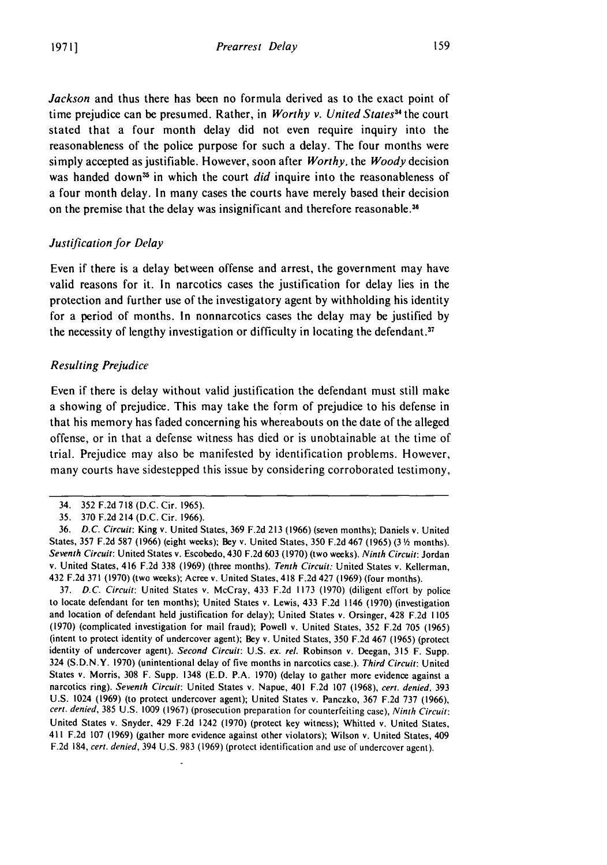*Jackson* and thus there has been no formula derived as to the exact point of time prejudice can be presumed. Rather, in *Worthy v. United States"* the court stated that a four month delay did not even require inquiry into the reasonableness of the police purpose for such a delay. The four months were simply accepted as justifiable. However, soon after *Worthy,* the *Woody* decision was handed down<sup>35</sup> in which the court *did* inquire into the reasonableness of a four month delay. In many cases the courts have merely based their decision on the premise that the delay was insignificant and therefore reasonable.<sup>36</sup>

#### *Justification for Delay*

Even if there is a delay between offense and arrest, the government may have valid reasons for it. In narcotics cases the justification for delay lies in the protection and further use of the investigatory agent by withholding his identity for a period of months. In nonnarcotics cases the delay may be justified by the necessity of lengthy investigation or difficulty in locating the defendant. $37$ 

#### *Resulting Prejudice*

Even if there is delay without valid justification the defendant must still make a showing of prejudice. This may take the form of prejudice to his defense in that his memory has faded concerning his whereabouts on the date of the alleged offense, or in that a defense witness has died or is unobtainable at the time of trial. Prejudice may also be manifested by identification problems. However, many courts have sidestepped this issue by considering corroborated testimony,

37. D.C. Circuit: United States v. McCray, 433 F.2d 1173 (1970) (diligent effort by police to locate defendant for ten months); United States v. Lewis, 433 F.2d 1146 (1970) (investigation and location of defendant held justification for delay); United States v. Orsinger, 428 F.2d 1105 (1970) (complicated investigation for mail fraud); Powell v. United States, 352 F.2d 705 (1965) (intent to protect identity of undercover agent); Bey v. United States, 350 F.2d 467 (1965) (protect identity of undercover agent). Second Circuit: U.S. ex. rel. Robinson v. Deegan, 315 F. Supp. 324 (S.D.N.Y. 1970) (unintentional delay of ive months in narcotics case.). Third Circuit: United States v. Morris, 308 F. Supp. 1348 (E.D. P.A. 1970) (delay to gather more evidence against a narcotics ring). Seventh Circuit: United States v. Napue, 401 F.2d 107 (1968), cert. denied, 393 U.S. 1024 (1969) (to protect undercover agent); United States v. Panczko, 367 F.2d 737 (1966), cert. denied, 385 U.S. 1009 (1967) (prosecution preparation for counterfeiting case), Ninth Circuit: United States v. Snyder, 429 F.2d 1242 (1970) (protect key witness); Whitted v. United States, 411 F.2d 107 (1969) (gather more evidence against other violators); Wilson v. United States, 409 F.2d 184, cert. denied, 394 U.S. 983 (1969) (protect identification and use of undercover agent).

<sup>34. 352</sup> F.2d 718 (D.C. Cir. 1965).

<sup>35. 370</sup> F.2d 214 (D.C. Cir. 1966).

<sup>36.</sup> D.C. Circuit: King v. United States, 369 F.2d 213 (1966) (seven months); Daniels v. United States, 357 F.2d 587 (1966) (eight weeks); Bey v. United States, 350 F.2d 467 (1965) (3 **/** months). Seventh Circuit: United States v. Escobedo, 430 F.2d 603 (1970) (two weeks). Ninth Circuit: Jordan v. United States, 416 F.2d 338 (1969) (three months). Tenth Circuit: United States v. Kellerman, 432 F.2d 371 (1970) (two weeks); Acree v. United States, 418 F.2d 427 (1969) (four months).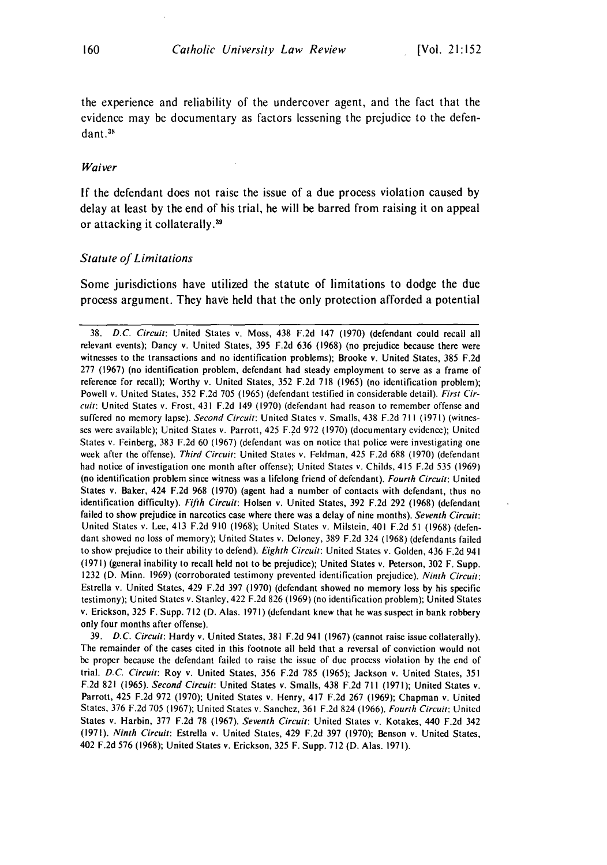the experience and reliability of the undercover agent, and the fact that the evidence may be documentary as factors lessening the prejudice to the defendant.<sup>38</sup>

#### Waiver

If the defendant does not raise the issue of a due process violation caused by delay at least by the end of his trial, he will be barred from raising it on appeal or attacking it collaterally.<sup>39</sup>

#### Statute of Limitations

Some jurisdictions have utilized the statute of limitations to dodge the due process argument. They have held that the only protection afforded a potential

39. **D.C.** Circuit: Hardy v. United States, 381 F.2d 941 (1967) (cannot raise issue collaterally). The remainder of the cases cited in this footnote all held that a reversal of conviction would not be proper because the defendant failed to raise the issue of due process violation by the end of trial. D.C. Circuit: Roy v. United States, 356 F.2d 785 (1965); Jackson v. United States, 351 F.2d 821 (1965). Second Circuit: United States v. Smalls, 438 F.2d 711 (1971); United States v. Parrott, 425 F.2d 972 (1970); United States v. Henry, 417 F.2d 267 (1969); Chapman v. United States, 376 F.2d 705 (1967); United States v. Sanchez, 361 F.2d 824 (1966). Fourth Circuit: United States v. Harbin, 377 F.2d 78 (1967). Seventh Circuit: United States v. Kotakes, 440 F.2d 342 (1971). Ninth Circuit: Estrella v. United States, 429 F.2d 397 (1970); Benson v. United States, 402 F.2d 576 (1968); United States v. Erickson, 325 F. Supp. 712 *(D.* Alas. 1971).

<sup>38.</sup> D.C. Circuit: United States v. Moss, 438 F.2d 147 (1970) (defendant could recall all relevant events); Dancy v. United States, 395 F.2d 636 (1968) (no prejudice because there were witnesses to the transactions and no identification problems); Brooke v. United States, 385 F.2d 277 (1967) (no identification problem, defendant had steady employment to serve as a frame of reference for recall); Worthy v. United States, 352 F.2d 718 (1965) (no identification problem); Powell v. United States, 352 F.2d 705 (1965) (defendant testified in considerable detail). First Circuit: United States v. Frost, 431 F.2d 149 (1970) (defendant had reason to remember offense and suffered no memory lapse). Second Circuit: United States v. Smalls, 438 F.2d 711 (1971) (witnesses were available); United States v. Parrott, 425 F.2d 972 (1970) (documentary evidence); United States v. Feinberg, 383 F.2d 60 (1967) (defendant was on notice that police were investigating one week after the offense). Third Circuit: United States v. Feldman, 425 F.2d 688 (1970) (defendant had notice of investigation one month after offense); United States v. Childs, 415 F.2d 535 (1969) (no identification problem since witness was a lifelong friend of defendant). Fourth Circuit: United States v. Baker, 424 F.2d 968 (1970) (agent had a number of contacts with defendant, thus no identification difficulty). Fifth Circuit: Holsen v. United States, 392 F.2d 292 (1968) (defendant failed to show prejudice in narcotics case where there was a delay of nine months). Seventh Circuit: United States v. Lee, 413 F.2d 910 (1968); United States v. Milstein, 401 F.2d 51 (1968) (defendant showed no loss of memory); United States v. Deloney, 389 F.2d 324 (1968) (defendants failed to show prejudice to their ability to defend). Eighth Circuit: United States v. Golden, 436 F.2d 941 (1971) (general inability to recall held not to be prejudice); United States v. Peterson, 302 F. Supp. 1232 (D. Minn. 1969) (corroborated testimony prevented identification prejudice). Ninth Circuit: Estrella v. United States, 429 F.2d 397 (1970) (defendant showed no memory loss by his specific testimony); United States v. Stanley, 422 F.2d 826 (1969) (no identification problem); United States v. Erickson, 325 F. Supp. 712 (D. Alas. 1971) (defendant knew that he was suspect in bank robbery only four months after offense).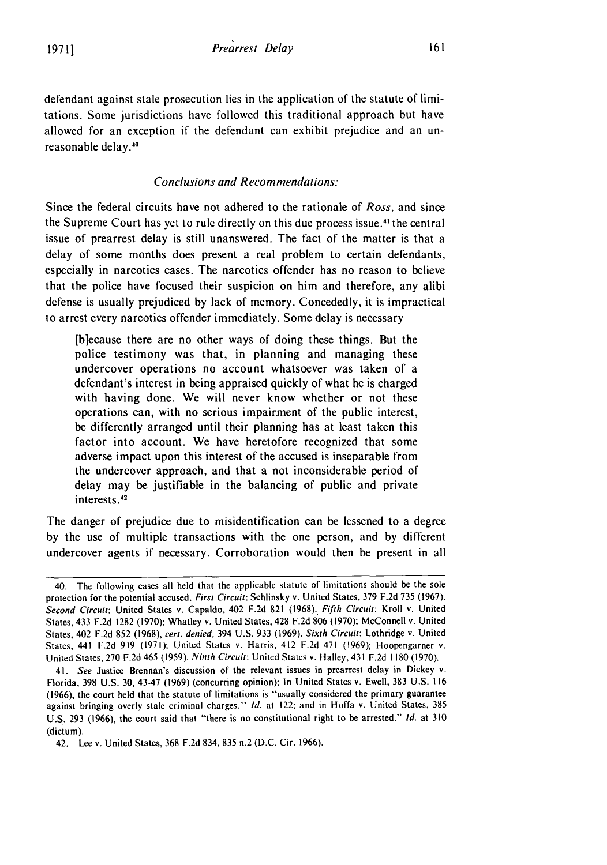defendant against stale prosecution lies in the application of the statute of limitations. Some jurisdictions have followed this traditional approach but have allowed for an exception if the defendant can exhibit prejudice and an unreasonable delay.<sup>40</sup>

#### *Conclusions and Recommendations:*

Since the federal circuits have not adhered to the rationale of *Ross,* and since the Supreme Court has yet to rule directly on this due process issue.<sup>41</sup> the central issue of prearrest delay is still unanswered. The fact of the matter is that a delay of some months does present a real problem to certain defendants, especially in narcotics cases. The narcotics offender has no reason to believe that the police have focused their suspicion on him and therefore, any alibi defense is usually prejudiced by lack of memory. Concededly, it is impractical to arrest every narcotics offender immediately. Some delay is necessary

[b]ecause there are no other ways of doing these things. But the police testimony was that, in planning and managing these undercover operations no account whatsoever was taken of a defendant's interest in being appraised quickly of what he is charged with having done. We will never know whether or not these operations can, with no serious impairment of the public interest, be differently arranged until their planning has at least taken this factor into account. We have heretofore recognized that some adverse impact upon this interest of the accused is inseparable from the undercover approach, and that a not inconsiderable period of delay may be justifiable in the balancing of public and private interests.<sup>42</sup>

The danger of prejudice due to misidentification can be lessened to a degree by the use of multiple transactions with the one person, and by different undercover agents if necessary. Corroboration would then be present in all

<sup>40.</sup> The following cases all held that the applicable statute of limitations should be the sole protection for the potential accused. First Circuit: Schlinsky v. United States, 379 F.2d 735 (1967). Second Circuit: United States v. Capaldo, 402 F.2d 821 (1968). Fifth Circuit: Kroll v. United States, 433 F.2d 1282 (1970); Whatley v. United States, 428 F.2d 806 (1970); McConnell v. United States, 402 F.2d 852 (1968), cert. denied, 394 U.S. 933 (1969). Sixth Circuit: Lothridge v. United States, 441 F.2d **919** (1971); United States v. Harris, 412 F.2d 471 (1969); Hoopengarner v. United States, 270 F.2d 465 (1959). Ninth Circuit: United States v. Halley, 431 F.2d 1180 (1970).

<sup>41.</sup> See Justice Brennan's discussion of the relevant issues in prearrest delay in Dickey v. Florida, 398 U.S. 30, 43-47 (1969) (concurring opinion); In United States v. Ewell, 383 U.S. 116 (1966), the court held that the statute of limitations is "usually considered the primary guarantee against bringing overly stale criminal'charges." **Id.** at 122; and in Hoffa v. United States, 385 U.S. 293 (1966), the court said that "there is no constitutional right to be arrested." **Id.** at **<sup>310</sup>** (dictum).

<sup>42.</sup> Lee v. United States, 368 F.2d 834, 835 n.2 (D.C. Cir. 1966).